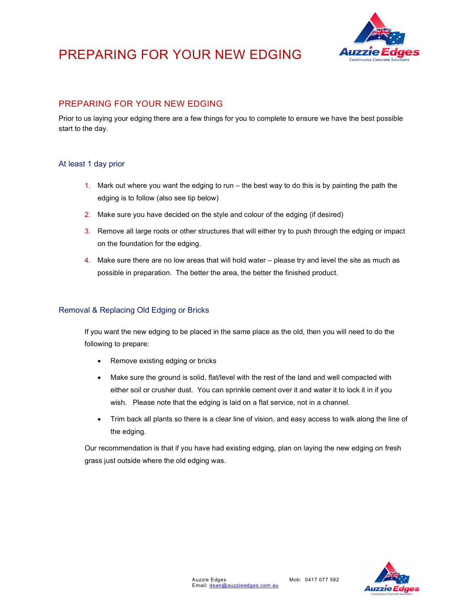

# PREPARING FOR YOUR NEW EDGING

# PREPARING FOR YOUR NEW EDGING

Prior to us laying your edging there are a few things for you to complete to ensure we have the best possible start to the day.

#### At least 1 day prior

- 1. Mark out where you want the edging to run the best way to do this is by painting the path the edging is to follow (also see tip below)
- 2. Make sure you have decided on the style and colour of the edging (if desired)
- 3. Remove all large roots or other structures that will either try to push through the edging or impact on the foundation for the edging.
- 4. Make sure there are no low areas that will hold water please try and level the site as much as possible in preparation. The better the area, the better the finished product.

## Removal & Replacing Old Edging or Bricks

If you want the new edging to be placed in the same place as the old, then you will need to do the following to prepare:

- Remove existing edging or bricks
- Make sure the ground is solid, flat/level with the rest of the land and well compacted with either soil or crusher dust. You can sprinkle cement over it and water it to lock it in if you wish. Please note that the edging is laid on a flat service, not in a channel.
- Trim back all plants so there is a clear line of vision, and easy access to walk along the line of the edging.

Our recommendation is that if you have had existing edging, plan on laying the new edging on fresh grass just outside where the old edging was.

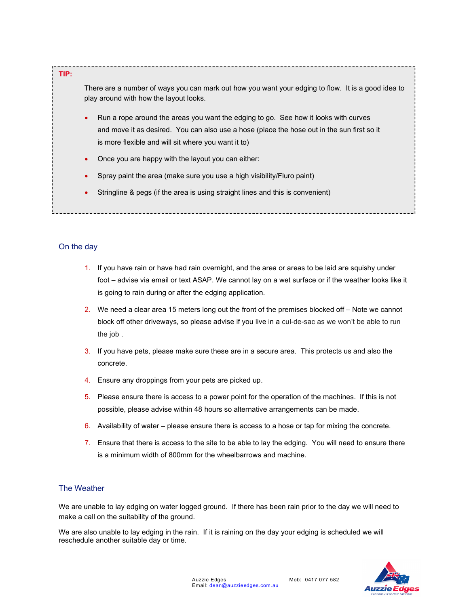There are a number of ways you can mark out how you want your edging to flow. It is a good idea to play around with how the layout looks.

- Run a rope around the areas you want the edging to go. See how it looks with curves and move it as desired. You can also use a hose (place the hose out in the sun first so it is more flexible and will sit where you want it to)
- Once you are happy with the layout you can either:
- Spray paint the area (make sure you use a high visibility/Fluro paint)
- Stringline & pegs (if the area is using straight lines and this is convenient)

On the day

TIP:

- 1. If you have rain or have had rain overnight, and the area or areas to be laid are squishy under foot – advise via email or text ASAP. We cannot lay on a wet surface or if the weather looks like it is going to rain during or after the edging application.
- 2. We need a clear area 15 meters long out the front of the premises blocked off Note we cannot block off other driveways, so please advise if you live in a cul-de-sac as we won't be able to run the job .
- 3. If you have pets, please make sure these are in a secure area. This protects us and also the concrete.
- 4. Ensure any droppings from your pets are picked up.
- 5. Please ensure there is access to a power point for the operation of the machines. If this is not possible, please advise within 48 hours so alternative arrangements can be made.
- 6. Availability of water please ensure there is access to a hose or tap for mixing the concrete.
- 7. Ensure that there is access to the site to be able to lay the edging. You will need to ensure there is a minimum width of 800mm for the wheelbarrows and machine.

## The Weather

We are unable to lay edging on water logged ground. If there has been rain prior to the day we will need to make a call on the suitability of the ground.

We are also unable to lay edging in the rain. If it is raining on the day your edging is scheduled we will reschedule another suitable day or time.